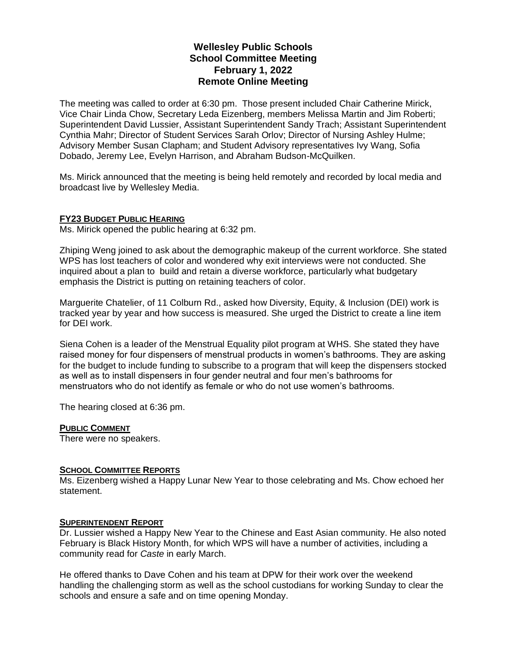# **Wellesley Public Schools School Committee Meeting February 1, 2022 Remote Online Meeting**

The meeting was called to order at 6:30 pm. Those present included Chair Catherine Mirick, Vice Chair Linda Chow, Secretary Leda Eizenberg, members Melissa Martin and Jim Roberti; Superintendent David Lussier, Assistant Superintendent Sandy Trach; Assistant Superintendent Cynthia Mahr; Director of Student Services Sarah Orlov; Director of Nursing Ashley Hulme; Advisory Member Susan Clapham; and Student Advisory representatives Ivy Wang, Sofia Dobado, Jeremy Lee, Evelyn Harrison, and Abraham Budson-McQuilken.

Ms. Mirick announced that the meeting is being held remotely and recorded by local media and broadcast live by Wellesley Media.

### **FY23 BUDGET PUBLIC HEARING**

Ms. Mirick opened the public hearing at 6:32 pm.

Zhiping Weng joined to ask about the demographic makeup of the current workforce. She stated WPS has lost teachers of color and wondered why exit interviews were not conducted. She inquired about a plan to build and retain a diverse workforce, particularly what budgetary emphasis the District is putting on retaining teachers of color.

Marguerite Chatelier, of 11 Colburn Rd., asked how Diversity, Equity, & Inclusion (DEI) work is tracked year by year and how success is measured. She urged the District to create a line item for DEI work.

Siena Cohen is a leader of the Menstrual Equality pilot program at WHS. She stated they have raised money for four dispensers of menstrual products in women's bathrooms. They are asking for the budget to include funding to subscribe to a program that will keep the dispensers stocked as well as to install dispensers in four gender neutral and four men's bathrooms for menstruators who do not identify as female or who do not use women's bathrooms.

The hearing closed at 6:36 pm.

### **PUBLIC COMMENT**

There were no speakers.

### **SCHOOL COMMITTEE REPORTS**

Ms. Eizenberg wished a Happy Lunar New Year to those celebrating and Ms. Chow echoed her statement.

### **SUPERINTENDENT REPORT**

Dr. Lussier wished a Happy New Year to the Chinese and East Asian community. He also noted February is Black History Month, for which WPS will have a number of activities, including a community read for *Caste* in early March.

He offered thanks to Dave Cohen and his team at DPW for their work over the weekend handling the challenging storm as well as the school custodians for working Sunday to clear the schools and ensure a safe and on time opening Monday.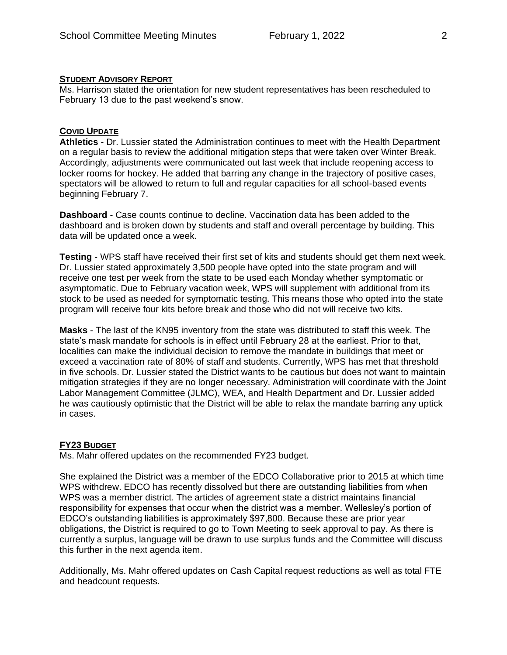### **STUDENT ADVISORY REPORT**

Ms. Harrison stated the orientation for new student representatives has been rescheduled to February 13 due to the past weekend's snow.

## **COVID UPDATE**

**Athletics** - Dr. Lussier stated the Administration continues to meet with the Health Department on a regular basis to review the additional mitigation steps that were taken over Winter Break. Accordingly, adjustments were communicated out last week that include reopening access to locker rooms for hockey. He added that barring any change in the trajectory of positive cases, spectators will be allowed to return to full and regular capacities for all school-based events beginning February 7.

**Dashboard** - Case counts continue to decline. Vaccination data has been added to the dashboard and is broken down by students and staff and overall percentage by building. This data will be updated once a week.

**Testing** - WPS staff have received their first set of kits and students should get them next week. Dr. Lussier stated approximately 3,500 people have opted into the state program and will receive one test per week from the state to be used each Monday whether symptomatic or asymptomatic. Due to February vacation week, WPS will supplement with additional from its stock to be used as needed for symptomatic testing. This means those who opted into the state program will receive four kits before break and those who did not will receive two kits.

**Masks** - The last of the KN95 inventory from the state was distributed to staff this week. The state's mask mandate for schools is in effect until February 28 at the earliest. Prior to that, localities can make the individual decision to remove the mandate in buildings that meet or exceed a vaccination rate of 80% of staff and students. Currently, WPS has met that threshold in five schools. Dr. Lussier stated the District wants to be cautious but does not want to maintain mitigation strategies if they are no longer necessary. Administration will coordinate with the Joint Labor Management Committee (JLMC), WEA, and Health Department and Dr. Lussier added he was cautiously optimistic that the District will be able to relax the mandate barring any uptick in cases.

### **FY23 BUDGET**

Ms. Mahr offered updates on the recommended FY23 budget.

She explained the District was a member of the EDCO Collaborative prior to 2015 at which time WPS withdrew. EDCO has recently dissolved but there are outstanding liabilities from when WPS was a member district. The articles of agreement state a district maintains financial responsibility for expenses that occur when the district was a member. Wellesley's portion of EDCO's outstanding liabilities is approximately \$97,800. Because these are prior year obligations, the District is required to go to Town Meeting to seek approval to pay. As there is currently a surplus, language will be drawn to use surplus funds and the Committee will discuss this further in the next agenda item.

Additionally, Ms. Mahr offered updates on Cash Capital request reductions as well as total FTE and headcount requests.